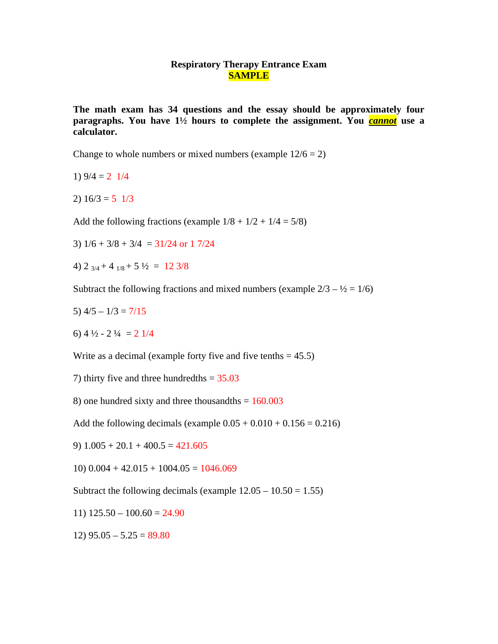## **Respiratory Therapy Entrance Exam SAMPLE**

**The math exam has 34 questions and the essay should be approximately four paragraphs. You have 1½ hours to complete the assignment. You** *cannot* **use a calculator.** 

Change to whole numbers or mixed numbers (example  $12/6 = 2$ )

1)  $9/4 = 2 \frac{1}{4}$ 

2)  $16/3 = 5 \frac{1}{3}$ 

Add the following fractions (example  $1/8 + 1/2 + 1/4 = 5/8$ )

3)  $1/6 + 3/8 + 3/4 = 31/24$  or 1 7/24

4)  $2 \frac{3}{4} + 4 \frac{1}{8} + 5 \frac{1}{2} = 12 \frac{3}{8}$ 

Subtract the following fractions and mixed numbers (example  $2/3 - \frac{1}{2} = 1/6$ )

- 5)  $4/5 1/3 = 7/15$
- 6)  $4\frac{1}{2}$  2 $\frac{1}{4}$  = 2  $\frac{1}{4}$

Write as a decimal (example forty five and five tenths  $= 45.5$ )

7) thirty five and three hundredths  $= 35.03$ 

8) one hundred sixty and three thousandths  $= 160.003$ 

Add the following decimals (example  $0.05 + 0.010 + 0.156 = 0.216$ )

9)  $1.005 + 20.1 + 400.5 = 421.605$ 

 $10)$   $0.004 + 42.015 + 1004.05 = 1046.069$ 

Subtract the following decimals (example  $12.05 - 10.50 = 1.55$ )

11)  $125.50 - 100.60 = 24.90$ 

 $12)$  95.05 – 5.25 = 89.80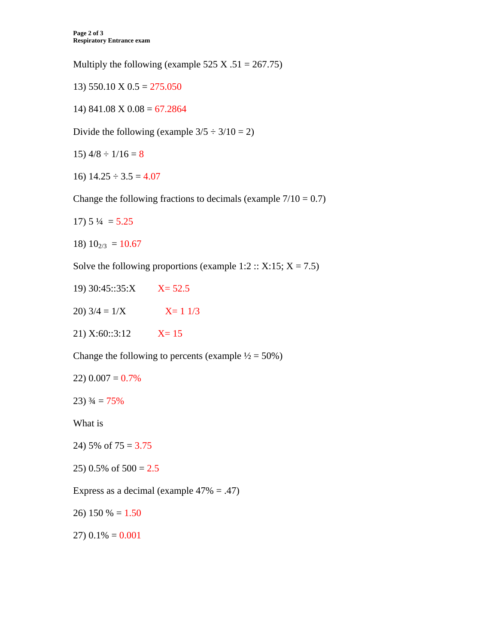Multiply the following (example 525 X .51 = 267.75)

13)  $550.10 \text{ X } 0.5 = 275.050$ 

14) 841.08 X  $0.08 = 67.2864$ 

Divide the following (example  $3/5 \div 3/10 = 2$ )

15)  $4/8 \div 1/16 = 8$ 

16)  $14.25 \div 3.5 = 4.07$ 

Change the following fractions to decimals (example  $7/10 = 0.7$ )

- $17) 5\frac{1}{4} = 5.25$
- 18)  $10_{2/3} = 10.67$

Solve the following proportions (example 1:2 :: X:15;  $X = 7.5$ )

- 19) 30:45::35:X  $X = 52.5$
- $20)$  3/4 =  $1/X$  $X = 1 \frac{1}{3}$
- $21) X:60::3:12$  $X=15$

Change the following to percents (example  $\frac{1}{2} = 50\%$ )

- $22)$  0.007 = 0.7%
- $23)$   $\frac{3}{4} = 75\%$

What is

- 24) 5% of  $75 = 3.75$
- 25) 0.5% of  $500 = 2.5$

Express as a decimal (example  $47\% = .47$ )

26) 150 % =  $1.50$ 

 $27)$  0.1% = 0.001